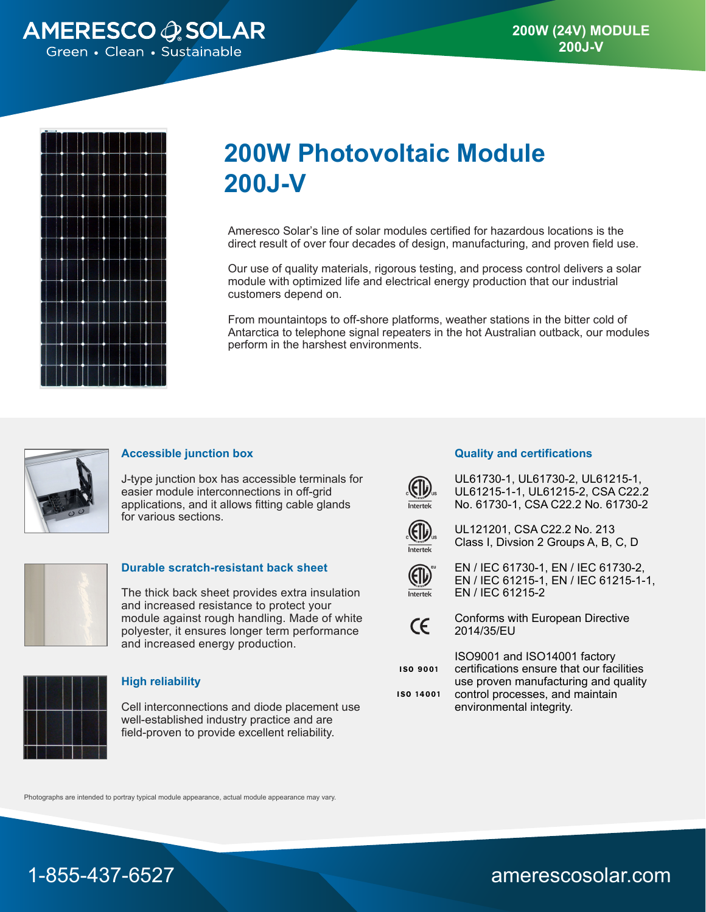



# **200W Photovoltaic Module 200J-V**

Ameresco Solar's line of solar modules certified for hazardous locations is the direct result of over four decades of design, manufacturing, and proven field use.

Our use of quality materials, rigorous testing, and process control delivers a solar module with optimized life and electrical energy production that our industrial customers depend on.

From mountaintops to off-shore platforms, weather stations in the bitter cold of Antarctica to telephone signal repeaters in the hot Australian outback, our modules perform in the harshest environments.



### **Accessible junction box**

J-type junction box has accessible terminals for easier module interconnections in off-grid applications, and it allows fitting cable glands for various sections.



#### **Durable scratch-resistant back sheet**

The thick back sheet provides extra insulation and increased resistance to protect your module against rough handling. Made of white polyester, it ensures longer term performance and increased energy production.



### **High reliability**

Cell interconnections and diode placement use well-established industry practice and are field-proven to provide excellent reliability.

#### **Quality and certifications**



UL61730-1, UL61730-2, UL61215-1, UL61215-1-1, UL61215-2, CSA C22.2 No. 61730-1, CSA C22.2 No. 61730-2



UL121201, CSA C22.2 No. 213 Class I, Divsion 2 Groups A, B, C, D



EN / IEC 61730-1, EN / IEC 61730-2, EN / IEC 61215-1, EN / IEC 61215-1-1, EN / IEC 61215-2



Conforms with European Directive 2014/35/EU

**ISO 9001** 

ISO9001 and ISO14001 factory certifications ensure that our facilities use proven manufacturing and quality control processes, and maintain

environmental integrity.

**ISO 14001** 

Photographs are intended to portray typical module appearance, actual module appearance may vary.



1-855-437-6527 amerescosolar.com